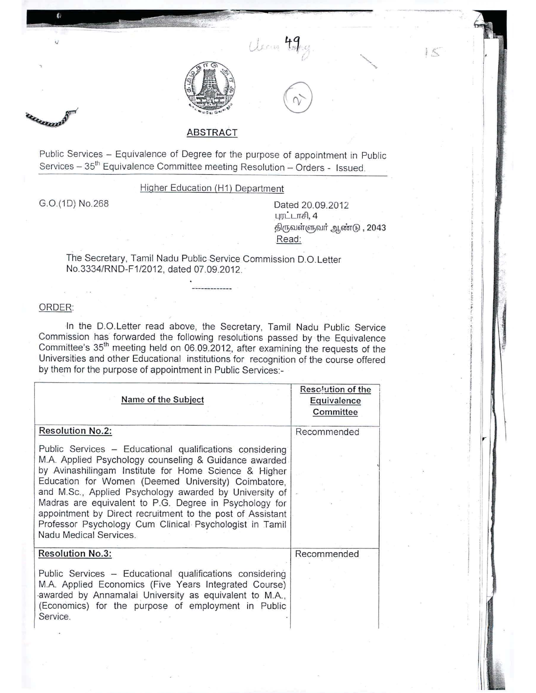



Usem 49

**~ \_ i!**

# ABSTRACT

Public Services - Equivalence of Degree for the purpose of appointment in Public Services - 35<sup>th</sup> Equivalence Committee meeting Resolution - Orders - Issued.

# Higher Education (H1) Department

G.O.(1D) No.268

Dated 20.09.2012 புரட்டாசி,  $4$ திருவள்ளுவா் ஆண்டு , 2043 Read:

 $15$ 

The Secretary, Tamil Nadu Public Service Commission D.O.Letter No.3334/RND-F1/2012, dated 07.09.2012..

#### ORDER:

In the D.O.Letter read above, the Secretary, Tamil Nadu Public Service Commission has forwarded the following resoluiions passed by the Equivalence Committee's 35<sup>th</sup> meeting held on 06.09.2012, after examining the requests of the Universities and other Educational institutions for recognition of the course offered by them for the purpose of appointment in Public Services:-

| Name of the Subject                                                                                                                                                                                                                                                                                                                                                                                                                                                                                      | Resolution of the<br>Equivalence<br>Committee |
|----------------------------------------------------------------------------------------------------------------------------------------------------------------------------------------------------------------------------------------------------------------------------------------------------------------------------------------------------------------------------------------------------------------------------------------------------------------------------------------------------------|-----------------------------------------------|
| <b>Resolution No.2:</b>                                                                                                                                                                                                                                                                                                                                                                                                                                                                                  | Recommended                                   |
| Public Services – Educational qualifications considering<br>M.A. Applied Psychology counseling & Guidance awarded<br>by Avinashilingam Institute for Home Science & Higher<br>Education for Women (Deemed University) Coimbatore,<br>and M.Sc., Applied Psychology awarded by University of<br>Madras are equivalent to P.G. Degree in Psychology for<br>appointment by Direct recruitment to the post of Assistant<br>Professor Psychology Cum Clinical Psychologist in Tamil<br>Nadu Medical Services. |                                               |
| <b>Resolution No.3:</b>                                                                                                                                                                                                                                                                                                                                                                                                                                                                                  | Recommended                                   |
| Public Services - Educational qualifications considering<br>M.A. Applied Economics (Five Years Integrated Course)<br>awarded by Annamalai University as equivalent to M.A.,<br>(Economics) for the purpose of employment in Public<br>Service.                                                                                                                                                                                                                                                           |                                               |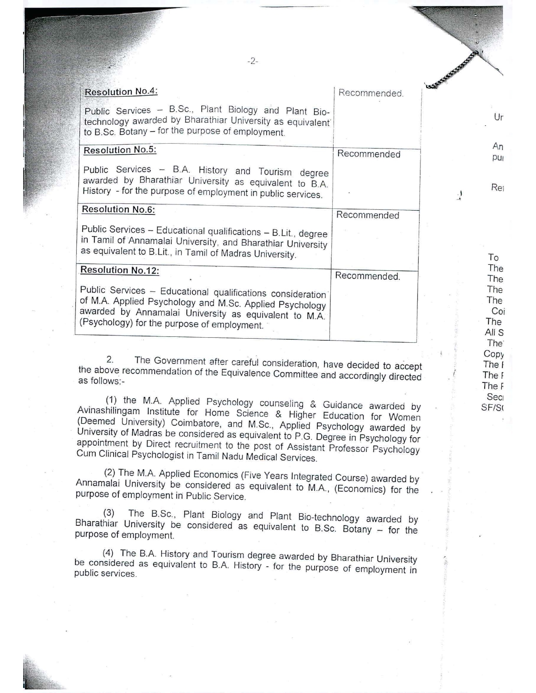| $-2-$                                                                                                                                                                                                                                                                                                                                                                                          |              |   |                                   |
|------------------------------------------------------------------------------------------------------------------------------------------------------------------------------------------------------------------------------------------------------------------------------------------------------------------------------------------------------------------------------------------------|--------------|---|-----------------------------------|
| Resolution No.4:                                                                                                                                                                                                                                                                                                                                                                               | Recommended. |   |                                   |
| Public Services - B.Sc., Plant Biology and Plant Bio-<br>technology awarded by Bharathiar University as equivalent<br>to B.Sc. Botany - for the purpose of employment.                                                                                                                                                                                                                         |              |   | Ur                                |
| Resolution No.5:                                                                                                                                                                                                                                                                                                                                                                               | Recommended  |   | An<br>pu                          |
| Public Services - B.A. History and Tourism degree<br>awarded by Bharathiar University as equivalent to B.A.<br>History - for the purpose of employment in public services.                                                                                                                                                                                                                     |              | J | Rei                               |
| <b>Resolution No.6:</b>                                                                                                                                                                                                                                                                                                                                                                        | Recommended  |   |                                   |
| Public Services - Educational qualifications - B.Lit., degree<br>in Tamil of Annamalai University, and Bharathiar University<br>as equivalent to B.Lit., in Tamil of Madras University.                                                                                                                                                                                                        |              |   | To                                |
| <b>Resolution No.12:</b>                                                                                                                                                                                                                                                                                                                                                                       | Recommended. |   | The<br>The                        |
| Public Services - Educational qualifications consideration<br>of M.A. Applied Psychology and M.Sc. Applied Psychology<br>awarded by Annamalai University as equivalent to M.A.<br>(Psychology) for the purpose of employment.                                                                                                                                                                  |              |   | The<br>The<br>Coi<br>The<br>All S |
|                                                                                                                                                                                                                                                                                                                                                                                                |              |   | The <sup>®</sup>                  |
| 2.<br>The Government after careful consideration, have decided to accept<br>the above recommendation of the Equivalence Committee and accordingly directed<br>as follows:-                                                                                                                                                                                                                     |              |   | Copy<br>The I<br>The F<br>The F   |
| (1) the M.A. Applied Psychology counseling & Guidance awarded by<br>Avinashilingam Institute for Home Science & Higher Education for Women<br>(Deemed University) Coimbatore, and M.Sc., Applied Psychology awarded by<br>University of Madras be considered as equivalent to P.G. Degree in Psychology for<br>appointment by Direct recruitment to the post of Assistant Professor Psychology |              |   | Sec<br>SF/S                       |

(2) The M.A. Applied Economics (Five Years Integrated Course) awarded by Annamalai University be considered as equivalent to M.A., (Economics) for the purpose of employment in Public Service.

Cum Clinical Psychologist in Tamil Nadu Medical Services.

(3) The B.Sc., Plant Biology and Plant Bio-technology awarded by Bharathiar University be considered as equivalent to B.Sc. Botany - for the purpose of employment

(4) The B.A. History and Tourism degree awarded by Bharathiar University be considered as equivalent to B.A History - for the purpose of employment in public services.